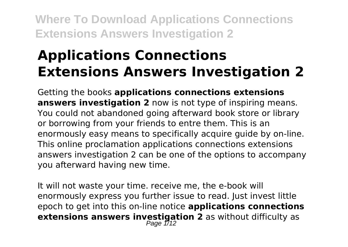# **Applications Connections Extensions Answers Investigation 2**

Getting the books **applications connections extensions answers investigation 2** now is not type of inspiring means. You could not abandoned going afterward book store or library or borrowing from your friends to entre them. This is an enormously easy means to specifically acquire guide by on-line. This online proclamation applications connections extensions answers investigation 2 can be one of the options to accompany you afterward having new time.

It will not waste your time. receive me, the e-book will enormously express you further issue to read. Just invest little epoch to get into this on-line notice **applications connections extensions answers investigation 2** as without difficulty as Page 1/12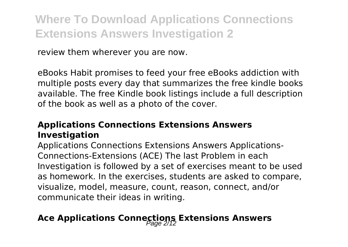review them wherever you are now.

eBooks Habit promises to feed your free eBooks addiction with multiple posts every day that summarizes the free kindle books available. The free Kindle book listings include a full description of the book as well as a photo of the cover.

### **Applications Connections Extensions Answers Investigation**

Applications Connections Extensions Answers Applications-Connections-Extensions (ACE) The last Problem in each Investigation is followed by a set of exercises meant to be used as homework. In the exercises, students are asked to compare, visualize, model, measure, count, reason, connect, and/or communicate their ideas in writing.

### Ace Applications Connections Extensions Answers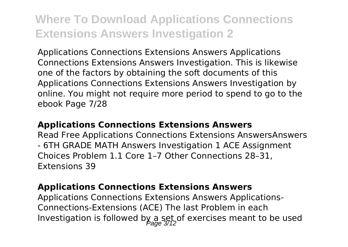Applications Connections Extensions Answers Applications Connections Extensions Answers Investigation. This is likewise one of the factors by obtaining the soft documents of this Applications Connections Extensions Answers Investigation by online. You might not require more period to spend to go to the ebook Page 7/28

#### **Applications Connections Extensions Answers**

Read Free Applications Connections Extensions AnswersAnswers - 6TH GRADE MATH Answers Investigation 1 ACE Assignment Choices Problem 1.1 Core 1–7 Other Connections 28–31, Extensions 39

#### **Applications Connections Extensions Answers**

Applications Connections Extensions Answers Applications-Connections-Extensions (ACE) The last Problem in each Investigation is followed by a set, of exercises meant to be used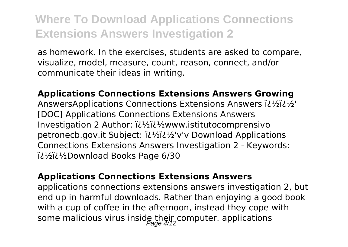as homework. In the exercises, students are asked to compare, visualize, model, measure, count, reason, connect, and/or communicate their ideas in writing.

**Applications Connections Extensions Answers Growing** AnswersApplications Connections Extensions Answers il 1/2il 1/2' [DOC] Applications Connections Extensions Answers Investigation 2 Author:  $i\lambda^{1/2}i\lambda^{1/2}$ www.istitutocomprensivo petronecb.gov.it Subject:  $i\lambda^{1/2}$  $i\lambda^{1/2}$  v'v Download Applications Connections Extensions Answers Investigation 2 - Keywords: iil<sup>1</sup>/<sub>2</sub>ii<sup>1</sup>/<sub>2</sub>Download Books Page 6/30

#### **Applications Connections Extensions Answers**

applications connections extensions answers investigation 2, but end up in harmful downloads. Rather than enjoying a good book with a cup of coffee in the afternoon, instead they cope with some malicious virus inside their computer. applications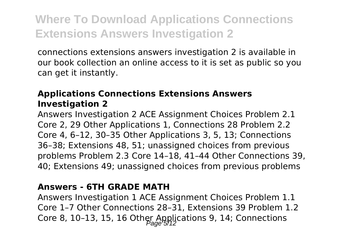connections extensions answers investigation 2 is available in our book collection an online access to it is set as public so you can get it instantly.

### **Applications Connections Extensions Answers Investigation 2**

Answers Investigation 2 ACE Assignment Choices Problem 2.1 Core 2, 29 Other Applications 1, Connections 28 Problem 2.2 Core 4, 6–12, 30–35 Other Applications 3, 5, 13; Connections 36–38; Extensions 48, 51; unassigned choices from previous problems Problem 2.3 Core 14–18, 41–44 Other Connections 39, 40; Extensions 49; unassigned choices from previous problems

### **Answers - 6TH GRADE MATH**

Answers Investigation 1 ACE Assignment Choices Problem 1.1 Core 1–7 Other Connections 28–31, Extensions 39 Problem 1.2 Core 8, 10-13, 15, 16 Other Applications 9, 14; Connections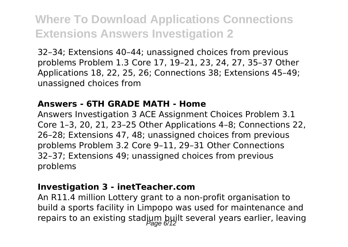32–34; Extensions 40–44; unassigned choices from previous problems Problem 1.3 Core 17, 19–21, 23, 24, 27, 35–37 Other Applications 18, 22, 25, 26; Connections 38; Extensions 45–49; unassigned choices from

#### **Answers - 6TH GRADE MATH - Home**

Answers Investigation 3 ACE Assignment Choices Problem 3.1 Core 1–3, 20, 21, 23–25 Other Applications 4–8; Connections 22, 26–28; Extensions 47, 48; unassigned choices from previous problems Problem 3.2 Core 9–11, 29–31 Other Connections 32–37; Extensions 49; unassigned choices from previous problems

#### **Investigation 3 - inetTeacher.com**

An R11.4 million Lottery grant to a non-profit organisation to build a sports facility in Limpopo was used for maintenance and repairs to an existing stadium built several years earlier, leaving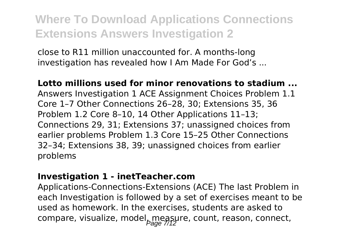close to R11 million unaccounted for. A months-long investigation has revealed how I Am Made For God's ...

#### **Lotto millions used for minor renovations to stadium ...**

Answers Investigation 1 ACE Assignment Choices Problem 1.1 Core 1–7 Other Connections 26–28, 30; Extensions 35, 36 Problem 1.2 Core 8–10, 14 Other Applications 11–13; Connections 29, 31; Extensions 37; unassigned choices from earlier problems Problem 1.3 Core 15–25 Other Connections 32–34; Extensions 38, 39; unassigned choices from earlier problems

#### **Investigation 1 - inetTeacher.com**

Applications-Connections-Extensions (ACE) The last Problem in each Investigation is followed by a set of exercises meant to be used as homework. In the exercises, students are asked to compare, visualize, model measure, count, reason, connect,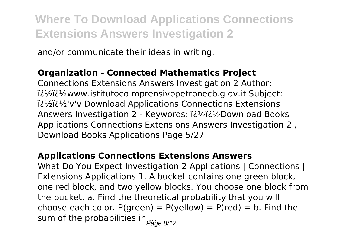and/or communicate their ideas in writing.

### **Organization - Connected Mathematics Project**

Connections Extensions Answers Investigation 2 Author:  $i^2$ i $i^3$ i $i^3$ www.istitutoco mprensivopetronecb.g ov.it Subject: ��'v'v Download Applications Connections Extensions Answers Investigation 2 - Keywords:  $i\lambda^{1/2}$ i $\lambda^{1/2}$ Download Books Applications Connections Extensions Answers Investigation 2 , Download Books Applications Page 5/27

### **Applications Connections Extensions Answers**

What Do You Expect Investigation 2 Applications | Connections | Extensions Applications 1. A bucket contains one green block, one red block, and two yellow blocks. You choose one block from the bucket. a. Find the theoretical probability that you will choose each color.  $P(\text{green}) = P(\text{yellow}) = P(\text{red}) = b$ . Find the sum of the probabilities in  $P_{\text{age 8/12}}$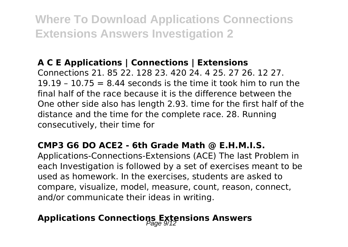### **A C E Applications | Connections | Extensions**

Connections 21. 85 22. 128 23. 420 24. 4 25. 27 26. 12 27. 19.19 – 10.75  $= 8.44$  seconds is the time it took him to run the final half of the race because it is the difference between the One other side also has length 2.93. time for the first half of the distance and the time for the complete race. 28. Running consecutively, their time for

### **CMP3 G6 DO ACE2 - 6th Grade Math @ E.H.M.I.S.**

Applications-Connections-Extensions (ACE) The last Problem in each Investigation is followed by a set of exercises meant to be used as homework. In the exercises, students are asked to compare, visualize, model, measure, count, reason, connect, and/or communicate their ideas in writing.

### **Applications Connections Extensions Answers**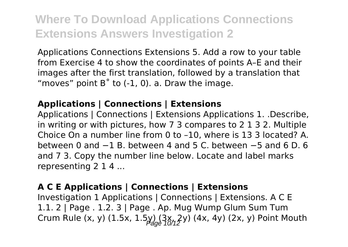Applications Connections Extensions 5. Add a row to your table from Exercise 4 to show the coordinates of points A–E and their images after the first translation, followed by a translation that "moves" point  $B^{\circ}$  to  $(-1, 0)$ , a. Draw the image.

### **Applications | Connections | Extensions**

Applications | Connections | Extensions Applications 1. .Describe, in writing or with pictures, how 7 3 compares to 2 1 3 2. Multiple Choice On a number line from 0 to –10, where is 13 3 located? A. between 0 and −1 B. between 4 and 5 C. between −5 and 6 D. 6 and 7 3. Copy the number line below. Locate and label marks representing 2 1 4 ...

### **A C E Applications | Connections | Extensions**

Investigation 1 Applications | Connections | Extensions. A C E 1.1. 2 | Page . 1.2. 3 | Page . Ap. Mug Wump Glum Sum Tum Crum Rule (x, y) (1.5x, 1.5y)  $(3x, 2y)$  (4x, 4y) (2x, y) Point Mouth